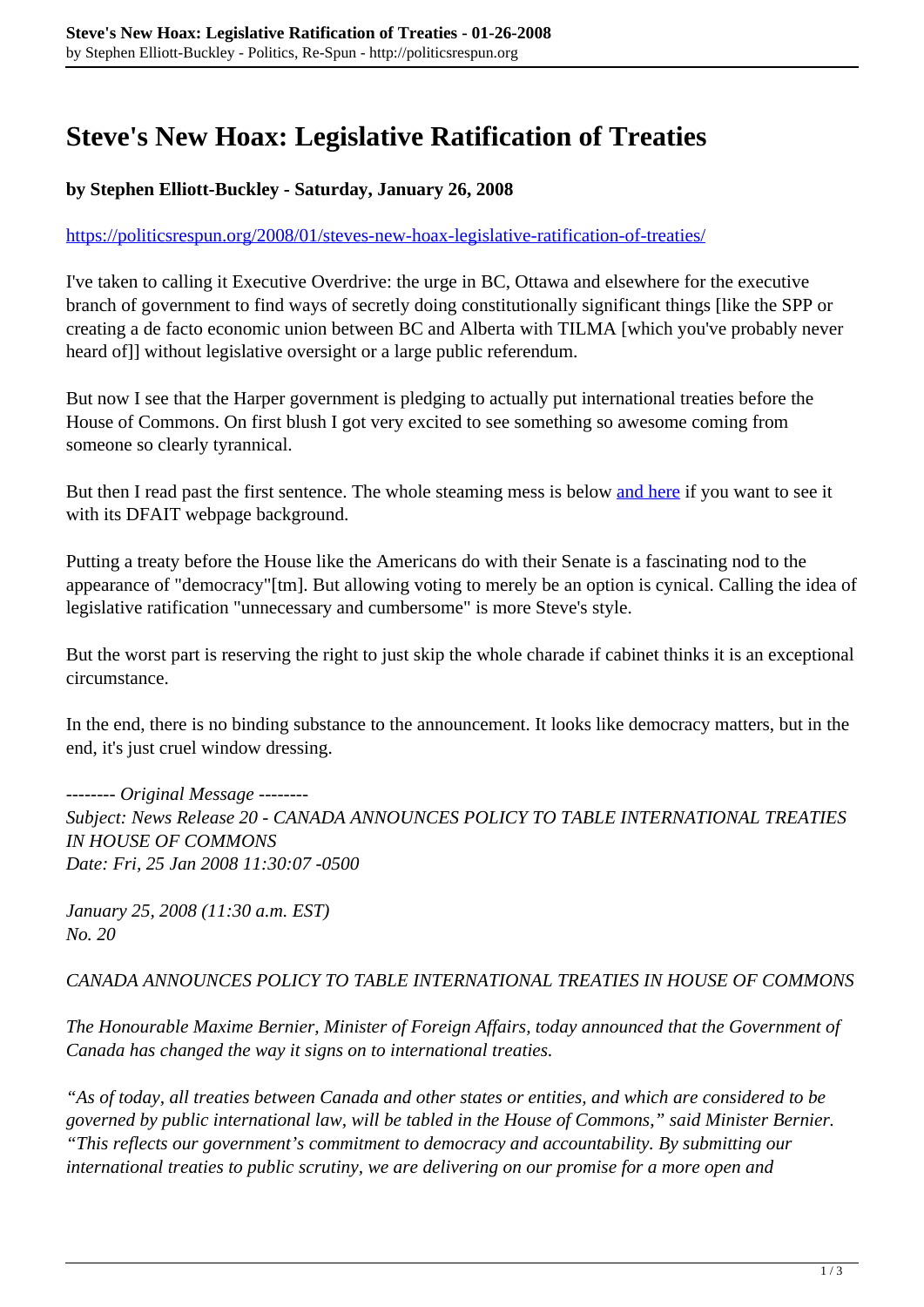# **Steve's New Hoax: Legislative Ratification of Treaties**

## **by Stephen Elliott-Buckley - Saturday, January 26, 2008**

### <https://politicsrespun.org/2008/01/steves-new-hoax-legislative-ratification-of-treaties/>

I've taken to calling it Executive Overdrive: the urge in BC, Ottawa and elsewhere for the executive branch of government to find ways of secretly doing constitutionally significant things [like the SPP or creating a de facto economic union between BC and Alberta with TILMA [which you've probably never heard of  $\vert$ ] without legislative oversight or a large public referendum.

But now I see that the Harper government is pledging to actually put international treaties before the House of Commons. On first blush I got very excited to see something so awesome coming from someone so clearly tyrannical.

But then I read past the first sentence. The whole steaming mess is below [and here](http://w01.international.gc.ca/MinPub/Publication.aspx?isRedirect=True&Language=E&publication_id=385798&docnumber=20) if you want to see it with its DFAIT webpage background.

Putting a treaty before the House like the Americans do with their Senate is a fascinating nod to the appearance of "democracy"[tm]. But allowing voting to merely be an option is cynical. Calling the idea of legislative ratification "unnecessary and cumbersome" is more Steve's style.

But the worst part is reserving the right to just skip the whole charade if cabinet thinks it is an exceptional circumstance.

In the end, there is no binding substance to the announcement. It looks like democracy matters, but in the end, it's just cruel window dressing.

*-------- Original Message -------- Subject: News Release 20 - CANADA ANNOUNCES POLICY TO TABLE INTERNATIONAL TREATIES IN HOUSE OF COMMONS Date: Fri, 25 Jan 2008 11:30:07 -0500*

*January 25, 2008 (11:30 a.m. EST) No. 20*

## *CANADA ANNOUNCES POLICY TO TABLE INTERNATIONAL TREATIES IN HOUSE OF COMMONS*

*The Honourable Maxime Bernier, Minister of Foreign Affairs, today announced that the Government of Canada has changed the way it signs on to international treaties.*

*"As of today, all treaties between Canada and other states or entities, and which are considered to be governed by public international law, will be tabled in the House of Commons," said Minister Bernier. "This reflects our government's commitment to democracy and accountability. By submitting our international treaties to public scrutiny, we are delivering on our promise for a more open and*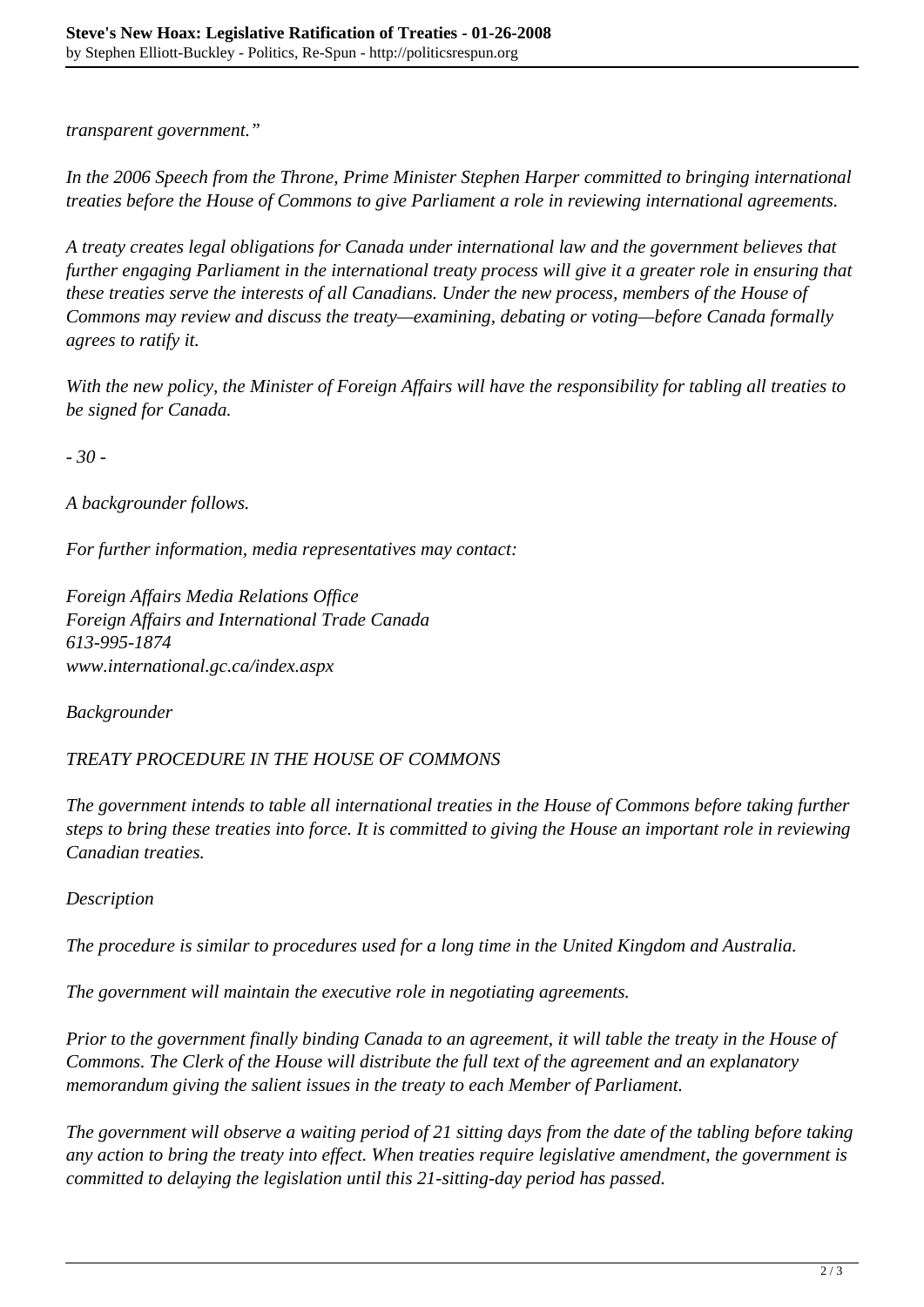*transparent government."*

*In the 2006 Speech from the Throne, Prime Minister Stephen Harper committed to bringing international treaties before the House of Commons to give Parliament a role in reviewing international agreements.*

*A treaty creates legal obligations for Canada under international law and the government believes that further engaging Parliament in the international treaty process will give it a greater role in ensuring that these treaties serve the interests of all Canadians. Under the new process, members of the House of Commons may review and discuss the treaty—examining, debating or voting—before Canada formally agrees to ratify it.*

*With the new policy, the Minister of Foreign Affairs will have the responsibility for tabling all treaties to be signed for Canada.*

*- 30 -*

*A backgrounder follows.*

*For further information, media representatives may contact:*

*Foreign Affairs Media Relations Office Foreign Affairs and International Trade Canada 613-995-1874 www.international.gc.ca/index.aspx*

*Backgrounder*

## *TREATY PROCEDURE IN THE HOUSE OF COMMONS*

*The government intends to table all international treaties in the House of Commons before taking further steps to bring these treaties into force. It is committed to giving the House an important role in reviewing Canadian treaties.*

## *Description*

*The procedure is similar to procedures used for a long time in the United Kingdom and Australia.*

*The government will maintain the executive role in negotiating agreements.*

*Prior to the government finally binding Canada to an agreement, it will table the treaty in the House of Commons. The Clerk of the House will distribute the full text of the agreement and an explanatory memorandum giving the salient issues in the treaty to each Member of Parliament.*

*The government will observe a waiting period of 21 sitting days from the date of the tabling before taking any action to bring the treaty into effect. When treaties require legislative amendment, the government is committed to delaying the legislation until this 21-sitting-day period has passed.*